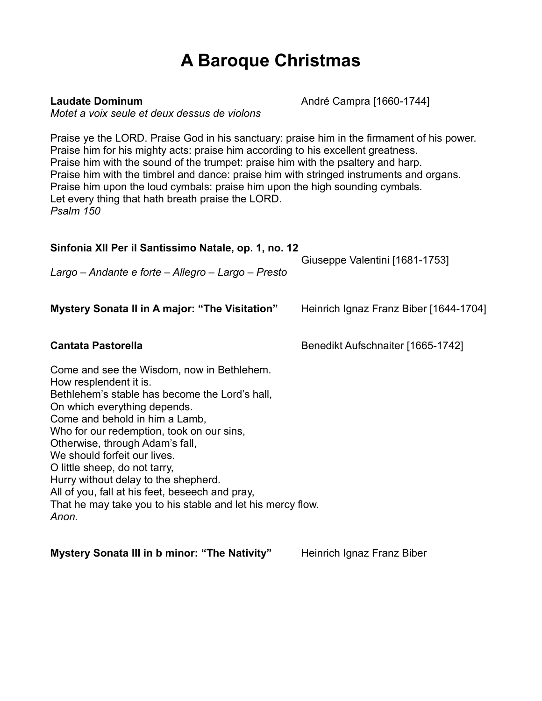## **A Baroque Christmas**

**Laudate Dominum Laudate Dominum André Campra [1660-1744]** 

*Motet a voix seule et deux dessus de violons*

Praise ye the LORD. Praise God in his sanctuary: praise him in the firmament of his power. Praise him for his mighty acts: praise him according to his excellent greatness. Praise him with the sound of the trumpet: praise him with the psaltery and harp. Praise him with the timbrel and dance: praise him with stringed instruments and organs. Praise him upon the loud cymbals: praise him upon the high sounding cymbals. Let every thing that hath breath praise the LORD. *Psalm 150*

| Sinfonia XII Per il Santissimo Natale, op. 1, no. 12<br>Largo – Andante e forte – Allegro – Largo – Presto                                                                                                                                                                                                                                                                                                                                                                                                  | Giuseppe Valentini [1681-1753]         |
|-------------------------------------------------------------------------------------------------------------------------------------------------------------------------------------------------------------------------------------------------------------------------------------------------------------------------------------------------------------------------------------------------------------------------------------------------------------------------------------------------------------|----------------------------------------|
| Mystery Sonata II in A major: "The Visitation"                                                                                                                                                                                                                                                                                                                                                                                                                                                              | Heinrich Ignaz Franz Biber [1644-1704] |
| <b>Cantata Pastorella</b>                                                                                                                                                                                                                                                                                                                                                                                                                                                                                   | Benedikt Aufschnaiter [1665-1742]      |
| Come and see the Wisdom, now in Bethlehem.<br>How resplendent it is.<br>Bethlehem's stable has become the Lord's hall,<br>On which everything depends.<br>Come and behold in him a Lamb,<br>Who for our redemption, took on our sins,<br>Otherwise, through Adam's fall,<br>We should forfeit our lives.<br>O little sheep, do not tarry,<br>Hurry without delay to the shepherd.<br>All of you, fall at his feet, beseech and pray,<br>That he may take you to his stable and let his mercy flow.<br>Anon. |                                        |

**Mystery Sonata III in b minor: "The Nativity"** Heinrich Ignaz Franz Biber